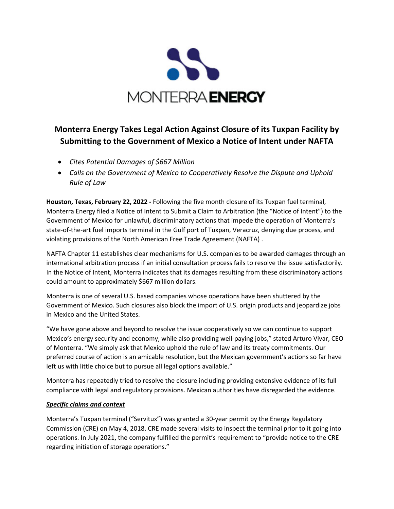

## **Monterra Energy Takes Legal Action Against Closure of its Tuxpan Facility by Submitting to the Government of Mexico a Notice of Intent under NAFTA**

- *Cites Potential Damages of \$667 Million*
- *Calls on the Government of Mexico to Cooperatively Resolve the Dispute and Uphold Rule of Law*

**Houston, Texas, February 22, 2022 -** Following the five month closure of its Tuxpan fuel terminal, Monterra Energy filed a Notice of Intent to Submit a Claim to Arbitration (the "Notice of Intent") to the Government of Mexico for unlawful, discriminatory actions that impede the operation of Monterra's state-of-the-art fuel imports terminal in the Gulf port of Tuxpan, Veracruz, denying due process, and violating provisions of the North American Free Trade Agreement (NAFTA) .

NAFTA Chapter 11 establishes clear mechanisms for U.S. companies to be awarded damages through an international arbitration process if an initial consultation process fails to resolve the issue satisfactorily. In the Notice of Intent, Monterra indicates that its damages resulting from these discriminatory actions could amount to approximately \$667 million dollars.

Monterra is one of several U.S. based companies whose operations have been shuttered by the Government of Mexico. Such closures also block the import of U.S. origin products and jeopardize jobs in Mexico and the United States.

"We have gone above and beyond to resolve the issue cooperatively so we can continue to support Mexico's energy security and economy, while also providing well-paying jobs," stated Arturo Vivar, CEO of Monterra. "We simply ask that Mexico uphold the rule of law and its treaty commitments. Our preferred course of action is an amicable resolution, but the Mexican government's actions so far have left us with little choice but to pursue all legal options available."

Monterra has repeatedly tried to resolve the closure including providing extensive evidence of its full compliance with legal and regulatory provisions. Mexican authorities have disregarded the evidence.

## *Specific claims and context*

Monterra's Tuxpan terminal ("Servitux") was granted a 30-year permit by the Energy Regulatory Commission (CRE) on May 4, 2018. CRE made several visits to inspect the terminal prior to it going into operations. In July 2021, the company fulfilled the permit's requirement to "provide notice to the CRE regarding initiation of storage operations."